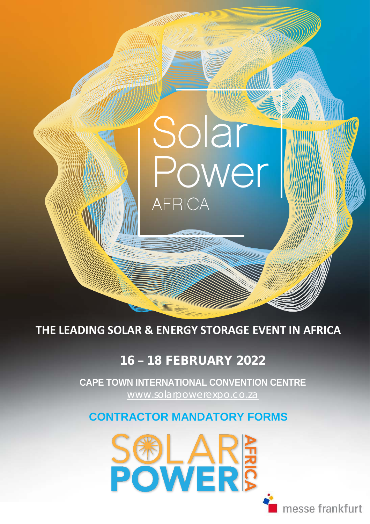**THE LEADING SOLAR & ENERGY STORAGE EVENT IN AFRICA**

**AFRICA** 

Solar

## 16 **–** 18 FEBRUARY 2022

 [www.solarpowerexpo.co.za](http://www.solarpowerexpo.co.za/) **CAPE TOWN INTERNATIONAL CONVENTION CENTRE**

### **CONTRACTOR MANDATORY FORMS**



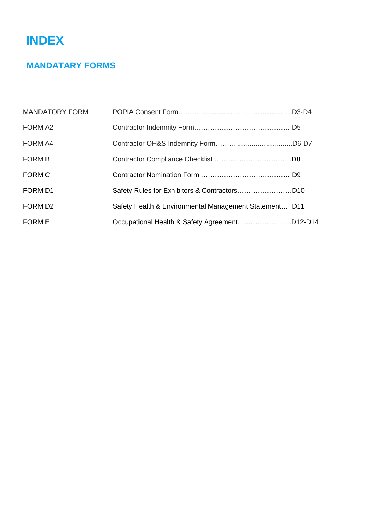# **INDEX**

### **MANDATARY FORMS**

| <b>MANDATORY FORM</b> |                                                        |  |
|-----------------------|--------------------------------------------------------|--|
| FORM A2               |                                                        |  |
| FORM A4               |                                                        |  |
| <b>FORM B</b>         |                                                        |  |
| <b>FORM C</b>         |                                                        |  |
| FORM D1               |                                                        |  |
| FORM D <sub>2</sub>   | Safety Health & Environmental Management Statement D11 |  |
| <b>FORM E</b>         | Occupational Health & Safety AgreementD12-D14          |  |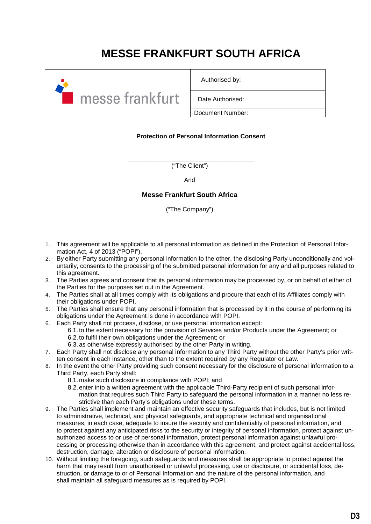## **MESSE FRANKFURT SOUTH AFRICA**



Authorised by: Date Authorised: Document Number:

### **Protection of Personal Information Consent**

**\_\_\_\_\_\_\_\_\_\_\_\_\_\_\_\_\_\_\_\_\_\_\_\_\_\_\_\_\_\_\_\_\_** ("The Client")

And

### **Messe Frankfurt South Africa**

("The Company")

- 1. This agreement will be applicable to all personal information as defined in the Protection of Personal Information Act, 4 of 2013 ("POPI").
- 2. By either Party submitting any personal information to the other, the disclosing Party unconditionally and voluntarily, consents to the processing of the submitted personal information for any and all purposes related to this agreement.
- 3. The Parties agrees and consent that its personal information may be processed by, or on behalf of either of the Parties for the purposes set out in the Agreement.
- 4. The Parties shall at all times comply with its obligations and procure that each of its Affiliates comply with their obligations under POPI.
- 5. The Parties shall ensure that any personal information that is processed by it in the course of performing its obligations under the Agreement is done in accordance with POPI.
- 6. Each Party shall not process, disclose, or use personal information except:
	- 6.1. to the extent necessary for the provision of Services and/or Products under the Agreement; or 6.2. to fulfil their own obligations under the Agreement; or
	- 6.3. as otherwise expressly authorised by the other Party in writing.
- 7. Each Party shall not disclose any personal information to any Third Party without the other Party's prior written consent in each instance, other than to the extent required by any Regulator or Law.
- 8. In the event the other Party providing such consent necessary for the disclosure of personal information to a Third Party, each Party shall:
	- 8.1. make such disclosure in compliance with POPI; and
	- 8.2. enter into a written agreement with the applicable Third-Party recipient of such personal information that requires such Third Party to safeguard the personal information in a manner no less restrictive than each Party's obligations under these terms.
- 9. The Parties shall implement and maintain an effective security safeguards that includes, but is not limited to administrative, technical, and physical safeguards, and appropriate technical and organisational measures, in each case, adequate to insure the security and confidentiality of personal information, and to protect against any anticipated risks to the security or integrity of personal information, protect against unauthorized access to or use of personal information, protect personal information against unlawful processing or processing otherwise than in accordance with this agreement, and protect against accidental loss, destruction, damage, alteration or disclosure of personal information.
- 10. Without limiting the foregoing, such safeguards and measures shall be appropriate to protect against the harm that may result from unauthorised or unlawful processing, use or disclosure, or accidental loss, destruction, or damage to or of Personal Information and the nature of the personal information, and shall maintain all safeguard measures as is required by POPI.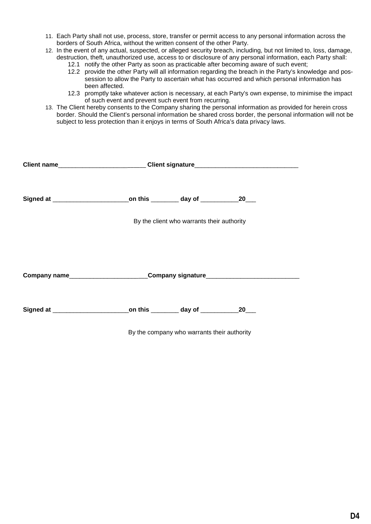- 11. Each Party shall not use, process, store, transfer or permit access to any personal information across the borders of South Africa, without the written consent of the other Party.
- 12. In the event of any actual, suspected, or alleged security breach, including, but not limited to, loss, damage, destruction, theft, unauthorized use, access to or disclosure of any personal information, each Party shall:
	- 12.1 notify the other Party as soon as practicable after becoming aware of such event;
	- 12.2 provide the other Party will all information regarding the breach in the Party's knowledge and possession to allow the Party to ascertain what has occurred and which personal information has been affected.
	- 12.3 promptly take whatever action is necessary, at each Party's own expense, to minimise the impact of such event and prevent such event from recurring.
- 13. The Client hereby consents to the Company sharing the personal information as provided for herein cross border. Should the Client's personal information be shared cross border, the personal information will not be subject to less protection than it enjoys in terms of South Africa's data privacy laws.

|                                                                                  | Client name_________________________Client signature____________________________ |                                             |  |  |  |
|----------------------------------------------------------------------------------|----------------------------------------------------------------------------------|---------------------------------------------|--|--|--|
| Signed at ____________________________on this _________ day of ____________20___ |                                                                                  |                                             |  |  |  |
|                                                                                  | By the client who warrants their authority                                       |                                             |  |  |  |
| Company name___________________________Company signature________________________ |                                                                                  |                                             |  |  |  |
|                                                                                  |                                                                                  |                                             |  |  |  |
|                                                                                  |                                                                                  | By the company who warrants their authority |  |  |  |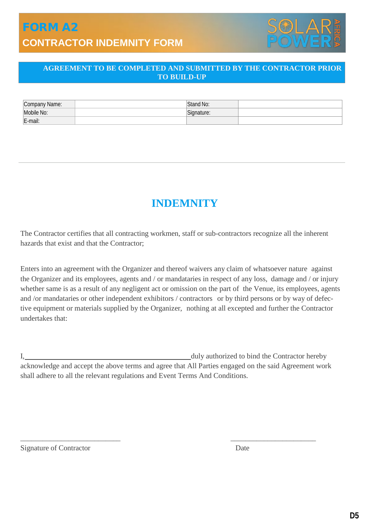## FORM A2 **CONTRACTOR INDEMNITY FORM**



### **AGREEMENT TO BE COMPLETED AND SUBMITTED BY THE CONTRACTOR PRIOR TO BUILD-UP**

| Company Name: | 1.11<br>Stand No: |  |
|---------------|-------------------|--|
| Mobile No:    | Signature:        |  |
| E-mail:       |                   |  |

## **INDEMNITY**

The Contractor certifies that all contracting workmen, staff or sub-contractors recognize all the inherent hazards that exist and that the Contractor;

Enters into an agreement with the Organizer and thereof waivers any claim of whatsoever nature against the Organizer and its employees, agents and / or mandataries in respect of any loss, damage and / or injury whether same is as a result of any negligent act or omission on the part of the Venue, its employees, agents and /or mandataries or other independent exhibitors / contractors or by third persons or by way of defective equipment or materials supplied by the Organizer, nothing at all excepted and further the Contractor undertakes that:

I, duly authorized to bind the Contractor hereby acknowledge and accept the above terms and agree that All Parties engaged on the said Agreement work shall adhere to all the relevant regulations and Event Terms And Conditions.

\_\_\_\_\_\_\_\_\_\_\_\_\_\_\_\_\_\_\_\_\_\_\_\_\_\_\_ \_\_\_\_\_\_\_\_\_\_\_\_\_\_\_\_\_\_\_\_\_\_\_

Signature of Contractor Date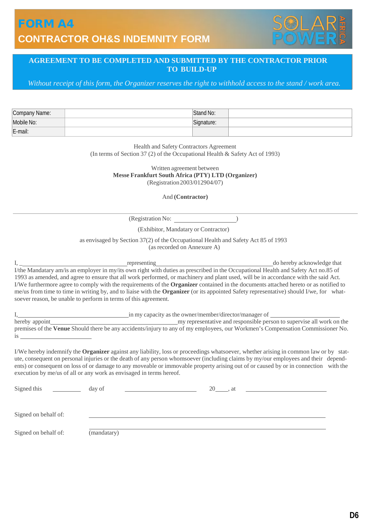### FORM A4 **CONTRACTOR OH&S INDEMNITY FORM**



### **AGREEMENT TO BE COMPLETED AND SUBMITTED BY THE CONTRACTOR PRIOR TO BUILD-UP**

*Without receipt of this form, the Organizer reserves the right to withhold access to the stand / work area.*

| Company Name: | Stand No:  |  |
|---------------|------------|--|
| Mobile No:    | Signature: |  |
| E-mail:       |            |  |

Health and Safety Contractors Agreement (In terms of Section 37 (2) of the Occupational Health & Safety Act of 1993)

> Written agreement between **Messe Frankfurt South Africa (PTY) LTD (Organizer)** (Registration2003/012904/07)

> > And **(Contractor)**

(Registration No:

(Exhibitor, Mandatary or Contractor)

as envisaged by Section 37(2) of the Occupational Health and Safety Act 85 of 1993 (as recorded on Annexure A)

I, \_ representing do hereby acknowledge that I/the Mandatary am/is an employer in my/its own right with duties as prescribed in the Occupational Health and Safety Act no.85 of 1993 as amended, and agree to ensure that all work performed, or machinery and plant used, will be in accordance with the said Act. I/We furthermore agree to comply with the requirements of the **Organizer** contained in the documents attached hereto or as notified to me/us from time to time in writing by, and to liaise with the **Organizer** (or its appointed Safety representative) should I/we, for whatsoever reason, be unable to perform in terms of this agreement.

|                | in my capacity as the owner/member/director/manager of                                                                         |
|----------------|--------------------------------------------------------------------------------------------------------------------------------|
| hereby appoint | my representative and responsible person to supervise all work on the                                                          |
|                | premises of the Venue Should there be any accidents/injury to any of my employees, our Workmen's Compensation Commissioner No. |
|                |                                                                                                                                |

I/We hereby indemnify the **Organizer** against any liability, loss or proceedings whatsoever, whether arising in common law or by statute, consequent on personal injuries or the death of any person whomsoever (including claims by my/our employees and their dependents) or consequent on loss of or damage to any moveable or immovable property arising out of or caused by or in connection with the execution by me/us of all or any work as envisaged in terms hereof.

| Signed this          | day of      | 20 | . at |  |
|----------------------|-------------|----|------|--|
| Signed on behalf of: |             |    |      |  |
| Signed on behalf of: | (mandatary) |    |      |  |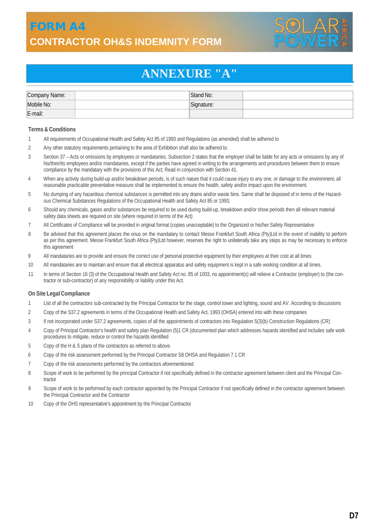### FORM A4 **CONTRACTOR OH&S INDEMNITY FORM**



## **ANNEXURE "A"**

| Company Name: | Stand No:   |  |
|---------------|-------------|--|
| Mobile No:    | 'Signature: |  |
| E-mail:       |             |  |

### **Terms & Conditions**

- 1 All requirements of Occupational Health and Safety Act 85 of 1993 and Regulations (as amended) shall be adhered to
- 2 Any other statutory requirements pertaining to the area of Exhibition shall also be adhered to.
- 3 Section 37 Acts or omissions by employees or mandataries. Subsection 2 states that the employer shall be liable for any acts or omissions by any of his/their/its employees and/or mandataries, except if the parties have agreed in writing to the arrangements and procedures between them to ensure compliance by the mandatary with the provisions of this Act; Read in conjunction with Section 41.
- 4 When any activity during build-up and/or breakdown periods, is of such nature that it could cause injury to any one, or damage to the environment, all reasonable practicable preventative measure shall be implemented to ensure the health, safety and/or impact upon the environment.
- 5 No dumping of any hazardous chemical substances is permitted into any drains and/or waste bins. Same shall be disposed of in terms of the Hazardous Chemical Substances Regulations of the Occupational Health and Safety Act 85 or 1993;
- 6 Should any chemicals, gases and/or substances be required to be used during build-up, breakdown and/or show periods then all relevant material safety data sheets are required on site (where required in terms of the Act)
- 7 All Certificates of Compliance will be provided in original format (copies unacceptable) to the Organized or his/her Safety Representative
- 8 Be advised that this agreement places the onus on the mandatary to contact Messe Frankfurt South Africa (Pty)Ltd in the event of inability to perform as per this agreement. Messe Frankfurt South Africa (Pty)Ltd however, reserves the right to unilaterally take any steps as may be necessary to enforce this agreement
- 9 All mandataries are to provide and ensure the correct use of personal protective equipment by their employees at their cost at all times
- 10 All mandataries are to maintain and ensure that all electrical apparatus and safety equipment is kept in a safe working condition at all times.
- 11 In terms of Section 16 (3) of the Occupational Health and Safety Act no. 85 of 1003, no appointment(s) will relieve a Contractor (employer) to (the contractor or sub-contractor) of any responsibility or liability under this Act.

### **On Site Legal Compliance**

- 1 List of all the contractors sub-contracted by the Principal Contractor for the stage, control tower and lighting, sound and AV. According to discussions
- 2 Copy of the S37.2 agreements in terms of the Occupational Health and Safety Act, 1993 (OHSA) entered into with these companies
- 3 If not incorporated under S37.2 agreements, copies of all the appointments of contractors into Regulation 5(3)(b) Construction Regulations (CR)
- 4 Copy of Principal Contractor's health and safety plan Regulation (5)1 CR (documented plan which addresses hazards identified and includes safe work procedures to mitigate, reduce or control the hazards identified
- 5 Copy of the H & S plans of the contractors as referred to above.
- 6 Copy of the risk assessment performed by the Principal Contractor S8 OHSA and Regulation 7.1 CR
- 7 Copy of the risk assessments performed by the contractors aforementioned
- 8 Scope of work to be performed by the principal Contractor if not specifically defined in the contractor agreement between client and the Principal Contractor
- 9 Scope of work to be performed by each contractor appointed by the Principal Contractor if not specifically defined in the contractor agreement between the Principal Contractor and the Contractor
- 10 Copy of the OHS representative's appointment by the Principal Contractor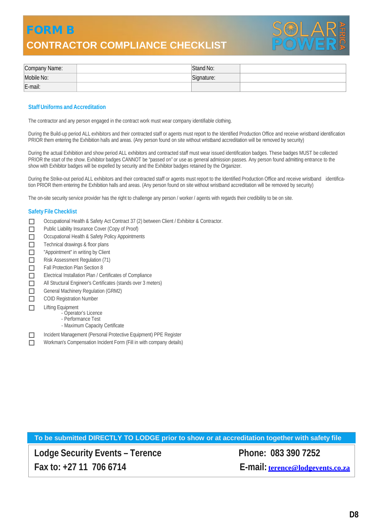### FORM B **CONTRACTOR COMPLIANCE CHECKLIST**



| Company Name: | Stand No:  |  |
|---------------|------------|--|
| Mobile No:    | Signature: |  |
| E-mail:       |            |  |

### **Staff Uniforms and Accreditation**

The contractor and any person engaged in the contract work must wear company identifiable clothing.

During the Build-up period ALL exhibitors and their contracted staff or agents must report to the Identified Production Office and receive wristband identification PRIOR them entering the Exhibition halls and areas. (Any person found on site without wristband accreditation will be removed by security)

During the actual Exhibition and show period ALL exhibitors and contracted staff must wear issued identification badges. These badges MUST be collected PRIOR the start of the show. Exhibitor badges CANNOT be "passed on" or use as general admission passes. Any person found admitting entrance to the show with Exhibitor badges will be expelled by security and the Exhibitor badges retained by the Organizer.

During the Strike-out period ALL exhibitors and their contracted staff or agents must report to the Identified Production Office and receive wristband identification PRIOR them entering the Exhibition halls and areas. (Any person found on site without wristband accreditation will be removed by security)

The on-site security service provider has the right to challenge any person / worker / agents with regards their credibility to be on site.

### **Safety File Checklist**

- □ Occupational Health & Safety Act Contract 37 (2) between Client / Exhibitor & Contractor.
- **Public Liability Insurance Cover (Copy of Proof)** Occupational Health & Safety Policy Appointments
- $\Box$  Technical drawings & floor plans
- **The "Appointment"** in writing by Client
- $\Box$  Risk Assessment Regulation (71)
- 
- $\Box$  Fall Protection Plan Section 8<br> $\Box$  Electrical Installation Plan / Co Electrical Installation Plan / Certificates of Compliance
- All Structural Engineer's Certificates (stands over 3 meters)
- 
- General Machinery Regulation (GRM2)<br>
COID Registration Number COID Registration Number
- $\Box$  Lifting Equipment
	- Operator's Licence
	- Performance Test
	- Maximum Capacity Certificate

□ Incident Management (Personal Protective Equipment) PPE Register<br>□ Workman's Compensation Incident Form (Fill in with company details)

Workman's Compensation Incident Form (Fill in with company details)

|  |  | To be submitted DIRECTLY TO LODGE prior to show or at accreditation together with safety file |  |
|--|--|-----------------------------------------------------------------------------------------------|--|
|--|--|-----------------------------------------------------------------------------------------------|--|

**Lodge Security Events – Terence Phone: 083 390 7252 Fax to: +27 11 706 6714 E-mail: [terence@lodgevents.co.za](mailto:services@za.messefrankfurt.com)**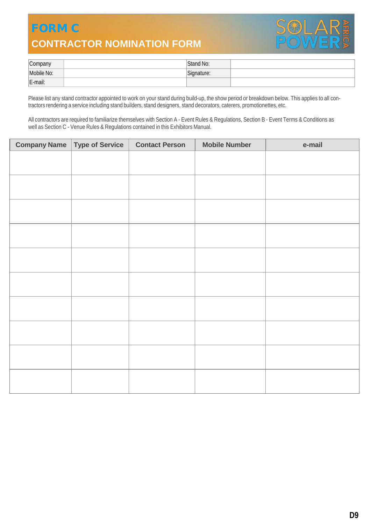## FORM C **CONTRACTOR NOMINATION FORM**



| Company    | Stand No:   |  |
|------------|-------------|--|
| Mobile No: | "cignature: |  |
| E-mail:    |             |  |

Please list any stand contractor appointed to work on your stand during build-up, the show period or breakdown below. This applies to all contractors rendering a service including stand builders, stand designers, stand decorators, caterers, promotionettes, etc.

All contractors are required to familiarize themselves with Section A - Event Rules & Regulations, Section B - Event Terms & Conditions as well as Section C - Venue Rules & Regulations contained in this Exhibitors Manual.

| <b>Company Name   Type of Service</b> | <b>Contact Person</b> | <b>Mobile Number</b> | e-mail |
|---------------------------------------|-----------------------|----------------------|--------|
|                                       |                       |                      |        |
|                                       |                       |                      |        |
|                                       |                       |                      |        |
|                                       |                       |                      |        |
|                                       |                       |                      |        |
|                                       |                       |                      |        |
|                                       |                       |                      |        |
|                                       |                       |                      |        |
|                                       |                       |                      |        |
|                                       |                       |                      |        |
|                                       |                       |                      |        |
|                                       |                       |                      |        |
|                                       |                       |                      |        |
|                                       |                       |                      |        |
|                                       |                       |                      |        |
|                                       |                       |                      |        |
|                                       |                       |                      |        |
|                                       |                       |                      |        |
|                                       |                       |                      |        |
|                                       |                       |                      |        |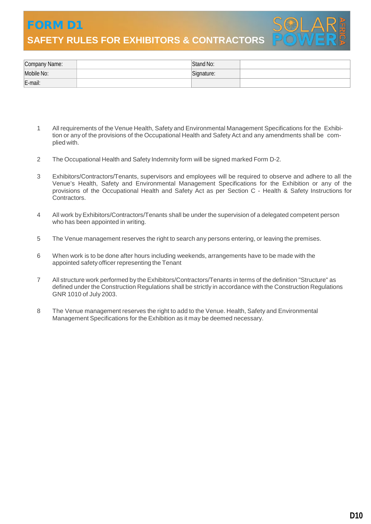FORM D1 **SAFETY RULES FOR EXHIBITORS & CONTRACTORS** 



| Company Name: | Stand No:  |  |
|---------------|------------|--|
| Mobile No:    | Signature: |  |
| E-mail:       |            |  |

- 1 All requirements of the Venue Health, Safety and Environmental Management Specifications for the Exhibition or any of the provisions of the Occupational Health and Safety Act and any amendments shall be complied with.
- 2 The Occupational Health and Safety Indemnity form will be signed marked Form D-2.
- 3 Exhibitors/Contractors/Tenants, supervisors and employees will be required to observe and adhere to all the Venue's Health, Safety and Environmental Management Specifications for the Exhibition or any of the provisions of the Occupational Health and Safety Act as per Section C - Health & Safety Instructions for **Contractors**
- 4 All work byExhibitors/Contractors/Tenants shall be under the supervision of a delegated competent person who has been appointed in writing.
- 5 The Venue management reserves the right to search any persons entering, or leaving the premises.
- 6 When work is to be done after hours including weekends, arrangements have to be made with the appointed safety officer representing the Tenant
- 7 All structure work performed by the Exhibitors/Contractors/Tenants in terms of the definition "Structure" as defined under the Construction Regulations shall be strictly in accordance with the Construction Regulations GNR 1010 of July 2003.
- 8 The Venue management reserves the right to add to the Venue. Health, Safety and Environmental Management Specifications for the Exhibition as it may be deemed necessary.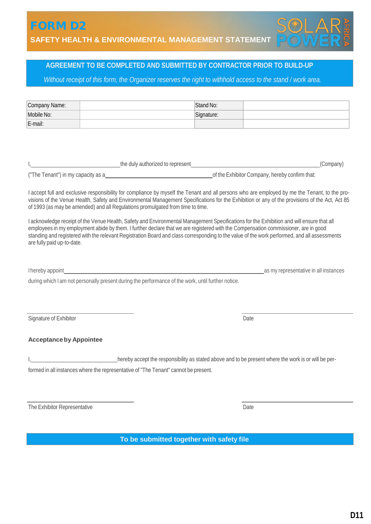**SAFETY HEALTH & ENVIRONMENTAL MANAGEMENT STATEMENT**

### **AGREEMENT TO BE COMPLETED AND SUBMITTED BY CONTRACTOR PRIOR TO BUILD-UP**

Without receipt of this form, the Organizer reserves the right to withhold access to the stand / work area.

| Company Name:                             |                                                                                                                                                                                                                                                                                                                                                                                                                                                                                                                                                                                                                                                                                                                                                                                                                                                                                                                                                                                                                                                                                                                                 | Stand No:  |                                                                                                      |  |
|-------------------------------------------|---------------------------------------------------------------------------------------------------------------------------------------------------------------------------------------------------------------------------------------------------------------------------------------------------------------------------------------------------------------------------------------------------------------------------------------------------------------------------------------------------------------------------------------------------------------------------------------------------------------------------------------------------------------------------------------------------------------------------------------------------------------------------------------------------------------------------------------------------------------------------------------------------------------------------------------------------------------------------------------------------------------------------------------------------------------------------------------------------------------------------------|------------|------------------------------------------------------------------------------------------------------|--|
| Mobile No:                                |                                                                                                                                                                                                                                                                                                                                                                                                                                                                                                                                                                                                                                                                                                                                                                                                                                                                                                                                                                                                                                                                                                                                 | Signature: |                                                                                                      |  |
| E-mail:                                   |                                                                                                                                                                                                                                                                                                                                                                                                                                                                                                                                                                                                                                                                                                                                                                                                                                                                                                                                                                                                                                                                                                                                 |            |                                                                                                      |  |
| are fully paid up-to-date.                | <b>Example 2018</b> The duly authorized to represent <b>the contract of the contract of the contract of the contract of the contract of the contract of the contract of the contract of the contract of the contract of the contract </b><br>("The Tenant") in my capacity as a<br><u>Confirm that:</u><br>I accept full and exclusive responsibility for compliance by myself the Tenant and all persons who are employed by me the Tenant, to the pro-<br>visions of the Venue Health, Safety and Environmental Management Specifications for the Exhibition or any of the provisions of the Act, Act 85<br>of 1993 (as may be amended) and all Regulations promulgated from time to time.<br>I acknowledge receipt of the Venue Health, Safety and Environmental Management Specifications for the Exhibition and will ensure that all<br>employees in my employment abide by them. I further declare that we are registered with the Compensation commissioner, are in good<br>standing and registered with the relevant Registration Board and class corresponding to the value of the work performed, and all assessments |            | (Company)                                                                                            |  |
|                                           | Thereby appoint the contract of the contract of the contract of the contract of the contract of the contract of the contract of the contract of the contract of the contract of the contract of the contract of the contract o<br>during which I am not personally present during the performance of the work, until further notice.                                                                                                                                                                                                                                                                                                                                                                                                                                                                                                                                                                                                                                                                                                                                                                                            |            | as my representative in all instances                                                                |  |
| Signature of Exhibitor                    |                                                                                                                                                                                                                                                                                                                                                                                                                                                                                                                                                                                                                                                                                                                                                                                                                                                                                                                                                                                                                                                                                                                                 |            | Date                                                                                                 |  |
| <b>Acceptance by Appointee</b>            |                                                                                                                                                                                                                                                                                                                                                                                                                                                                                                                                                                                                                                                                                                                                                                                                                                                                                                                                                                                                                                                                                                                                 |            |                                                                                                      |  |
|                                           | formed in all instances where the representative of "The Tenant" cannot be present.                                                                                                                                                                                                                                                                                                                                                                                                                                                                                                                                                                                                                                                                                                                                                                                                                                                                                                                                                                                                                                             |            | hereby accept the responsibility as stated above and to be present where the work is or will be per- |  |
| The Exhibitor Representative              |                                                                                                                                                                                                                                                                                                                                                                                                                                                                                                                                                                                                                                                                                                                                                                                                                                                                                                                                                                                                                                                                                                                                 |            | Date                                                                                                 |  |
| To be submitted together with safety file |                                                                                                                                                                                                                                                                                                                                                                                                                                                                                                                                                                                                                                                                                                                                                                                                                                                                                                                                                                                                                                                                                                                                 |            |                                                                                                      |  |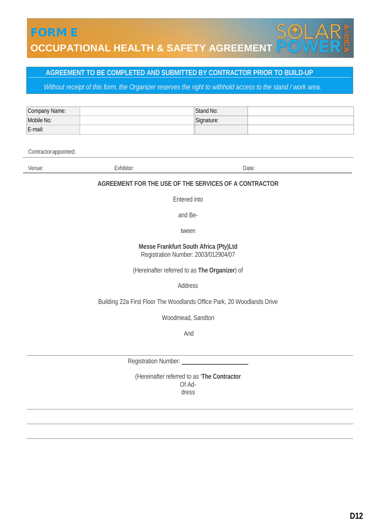### **AGREEMENT TO BE COMPLETED AND SUBMITTED BY CONTRACTOR PRIOR TO BUILD-UP**

Without receipt of this form, the Organizer reserves the right to withhold access to the stand / work area.

| Company Name: | Stand No:   |  |
|---------------|-------------|--|
| Mobile No:    | "Signature: |  |
| E-mail:       |             |  |

Contractorappointed:

Venue: Carl Contract Contract Exhibitor: Contract Contract Contract Contract Contract Contract Contract Contract Contract Contract Contract Contract Contract Contract Contract Contract Contract Contract Contract Contract C

### **AGREEMENT FOR THE USE OF THE SERVICES OF A CONTRACTOR**

Entered into

and Be-

tween

### **Messe Frankfurt South Africa (Pty)Ltd** Registration Number: 2003/012904/07

(Hereinafter referred to as **The Organizer**) of

Address

Building 22a First Floor The Woodlands Office Park, 20 Woodlands Drive

Woodmead, Sandton

And

Registration Number:

(Hereinafter referred to as '**The Contractor** Of Address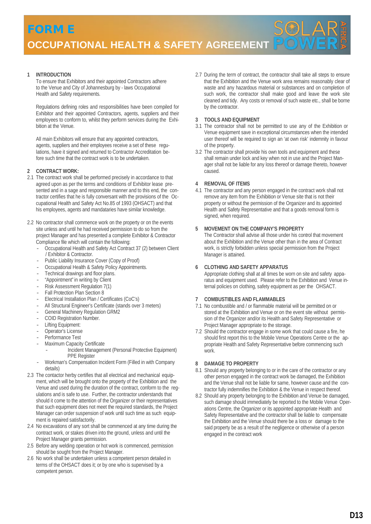**1 INTRODUCTION**

To ensure that Exhibitors and their appointed Contractors adhere to the Venue and City of Johannesburg by - laws Occupational Health and Safety requirements.

Regulations defining roles and responsibilities have been compiled for Exhibitor and their appointed Contractors, agents, suppliers and their employees to conform to, whilst they perform services during the Exhibition at the Venue.

All main Exhibitors will ensure that any appointed contractors, agents, suppliers and their employees receive a set of these regulations, have it signed and returned to Contractor Accreditation before such time that the contract work is to be undertaken.

### **2 CONTRACT WORK:**

- 2.1 The contract work shall be performed precisely in accordance to that agreed upon as per the terms and conditions of Exhibitor lease presented and in a sage and responsible manner and to this end, the contractor certifies that he is fully conversant with the provisions of the Occupational Health and Safety Act No.85 of 1993 (OHSACT) and that his employees, agents and mandataries have similar knowledge.
- 2.2 No contractor shall commence work on the property or on the events site unless and until he had received permission to do so from the project Manager and has presented a complete Exhibitor & Contractor Compliance file which will contain the following:
	- Occupational Health and Safety Act Contract 37 (2) between Client / Exhibitor & Contractor.
	- Public Liability Insurance Cover (Copy of Proof)
	- Occupational Health & Safety Policy Appointments.<br>- Technical drawings and floor plans.
	- Technical drawings and floor plans.
	- "Appointment" in writing by Client
	- Risk Assessment Regulation 7(1)
	- Fall Protection Plan Section 8
	- Electrical Installation Plan / Certificates (CoC's)<br>- All Structural Engineer's Certificate (stands over
	- All Structural Engineer's Certificate (stands over 3 meters)<br>- General Machinery Requisition GRM2
	- General Machinery Regulation GRM2
	- COID Registration Number.
	- Lifting Equipment:
	- Operator's License
	- Performance Test
	- Maximum Capacity Certificate
		- Incident Management (Personal Protective Equipment) PPE Register
	- Workman's Compensation Incident Form (Filled in with Company details)
- 2.3 The contactor herby certifies that all electrical and mechanical equipment, which will be brought onto the property of the Exhibition and the Venue and used during the duration of the contract, conform to the regulations and is safe to use. Further, the contractor understands that should it come to the attention of the Organizer or their representatives that such equipment does not meet the required standards, the Project Manager can order suspension of work until such time as such equipment is repaired satisfactorily.
- 2.4 No excavations of any sort shall be commenced at any time during the contract work, or stakes driven into the ground, unless and until the Project Manager grants permission.
- 2.5 Before any welding operation or hot work is commenced, permission should be sought from the Project Manager.
- 2.6 No work shall be undertaken unless a competent person detailed in terms of the OHSACT does it; or by one who is supervised by a competent person.

2.7 During the term of contract, the contractor shall take all steps to ensure that the Exhibition and the Venue work area remains reasonably clear of waste and any hazardous material or substances and on completion of such work, the contractor shall make good and leave the work site cleaned and tidy. Any costs or removal of such waste etc., shall be borne by the contractor.

#### **3 TOOLS AND EQUIPMENT**

- 3.1 The contractor shall not be permitted to use any of the Exhibition or Venue equipment save in exceptional circumstances when the intended user thereof will be required to sign an 'at own risk' indemnity in favour of the property.
- 3.2 The contractor shall provide his own tools and equipment and these shall remain under lock and key when not in use and the Project Manager shall not be liable for any loss thereof or damage thereto, however caused.

### **4 REMOVAL OF ITEMS**

4.1 The contractor and any person engaged in the contract work shall not remove any item from the Exhibition or Venue site that is not their property or without the permission of the Organizer and its appointed Health and Safety Representative and that a goods removal form is signed, when required.

### **5 MOVEMENT ON THE COMPANY'S PROPERTY**

The Contractor shall advise all those under his control that movement about the Exhibition and the Venue other than in the area of Contract work, is strictly forbidden unless special permission from the Project Manager is attained.

### **6 CLOTHING AND SAFETY APPARATUS**

Appropriate clothing shall at all times be worn on site and safety apparatus and equipment used. Please refer to the Exhibition and Venue internal policies on clothing, safety equipment as per the OHSACT.

### **7 COMBUSTIBLES AND FLAMMABLES**

- 7.1 No combustible and / or flammable material will be permitted on or stored at the Exhibition and Venue or on the event site without permission of the Organizer and/or its Health and Safety Representative or Project Manager appropriate to the storage.
- 7.2 Should the contractor engage in some work that could cause a fire, he should first report this to the Mobile Venue Operations Centre or the appropriate Health and Safety Representative before commencing such work.

### **8 DAMAGE TO PROPERTY**

- 8.1 Should any property belonging to or in the care of the contractor or any other person engaged in the contract work be damaged, the Exhibition and the Venue shall not be liable for same, however cause and the contractor fully indemnifies the Exhibition & the Venue in respect thereof.
- 8.2 Should any property belonging to the Exhibition and Venue be damaged, such damage should immediately be reported to the Mobile Venue Operations Centre, the Organizer or its appointed appropriate Health and Safety Representative and the contractor shall be liable to compensate the Exhibition and the Venue should there be a loss or damage to the said property be as a result of the negligence or otherwise of a person engaged in the contract work